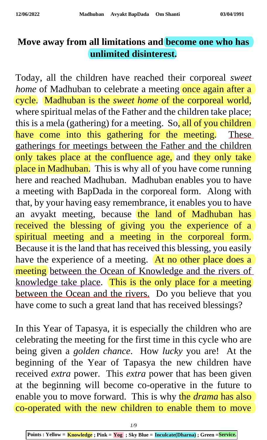## **Move away from all limitations and become one who has unlimited disinterest.**

Today, all the children have reached their corporeal *sweet home* of Madhuban to celebrate a meeting once again after a cycle. Madhuban is the *sweet home* of the corporeal world, where spiritual melas of the Father and the children take place; this is a mela (gathering) for a meeting. So, all of you children have come into this gathering for the meeting. These gatherings for meetings between the Father and the children only takes place at the confluence age, and they only take place in Madhuban. This is why all of you have come running here and reached Madhuban. Madhuban enables you to have a meeting with BapDada in the corporeal form. Along with that, by your having easy remembrance, it enables you to have an avyakt meeting, because the land of Madhuban has received the blessing of giving you the experience of a spiritual meeting and a meeting in the corporeal form. Because it is the land that has received this blessing, you easily have the experience of a meeting. At no other place does a meeting between the Ocean of Knowledge and the rivers of knowledge take place. This is the only place for a meeting between the Ocean and the rivers. Do you believe that you have come to such a great land that has received blessings?

In this Year of Tapasya, it is especially the children who are celebrating the meeting for the first time in this cycle who are being given a *golden chance*. How *lucky* you are! At the beginning of the Year of Tapasya the new children have received *extra* power. This *extra* power that has been given at the beginning will become co-operative in the future to enable you to move forward. This is why the *drama* has also co-operated with the new children to enable them to move

**Points : Yellow = Knowledge ; Pink = Yog ; Sky Blue = Inculcate(Dharna) ; Green =Service.**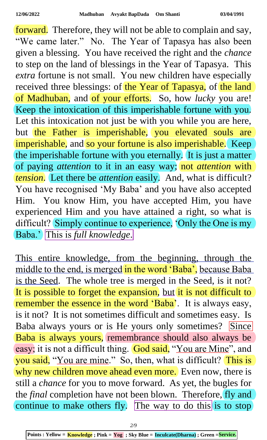forward. Therefore, they will not be able to complain and say, "We came later." No. The Year of Tapasya has also been given a blessing. You have received the right and the *chance* to step on the land of blessings in the Year of Tapasya. This *extra* fortune is not small. You new children have especially received three blessings: of the Year of Tapasya, of the land of Madhuban, and of your efforts. So, how *lucky* you are! Keep the intoxication of this imperishable fortune with you. Let this intoxication not just be with you while you are here, but the Father is imperishable, you elevated souls are imperishable, and so your fortune is also imperishable. Keep the imperishable fortune with you eternally. It is just a matter of paying *attention* to it in an easy way; not *attention* with *tension*. Let there be *attention* easily. And, what is difficult? You have recognised 'My Baba' and you have also accepted Him. You know Him, you have accepted Him, you have experienced Him and you have attained a right, so what is difficult? Simply continue to experience, 'Only the One is my Baba.' This is *full knowledge*.

This entire knowledge, from the beginning, through the middle to the end, is merged in the word 'Baba', because Baba is the Seed. The whole tree is merged in the Seed, is it not? It is possible to forget the expansion, but it is not difficult to remember the essence in the word 'Baba'. It is always easy, is it not? It is not sometimes difficult and sometimes easy. Is Baba always yours or is He yours only sometimes? Since Baba is always yours, remembrance should also always be easy; it is not a difficult thing. God said, "You are Mine", and you said, "You are mine." So, then, what is difficult? This is why new children move ahead even more. Even now, there is still a *chance* for you to move forward. As yet, the bugles for the *final* completion have not been blown. Therefore, fly and continue to make others fly. The way to do this is to stop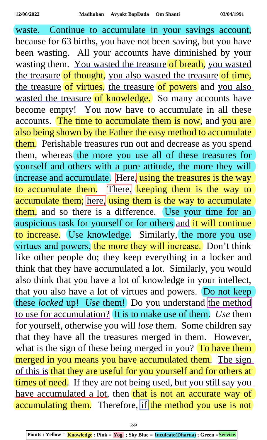waste. Continue to accumulate in your savings account, because for 63 births, you have not been saving, but you have been wasting. All your accounts have diminished by your wasting them. You wasted the treasure of breath, you wasted the treasure of thought, you also wasted the treasure of time, the treasure of virtues, the treasure of powers and you also wasted the treasure of knowledge. So many accounts have become empty! You now have to accumulate in all these accounts. The time to accumulate them is now, and you are also being shown by the Father the easy method to accumulate them. Perishable treasures run out and decrease as you spend them, whereas the more you use all of these treasures for yourself and others with a pure attitude, the more they will increase and accumulate. Here, using the treasures is the way to accumulate them. There, keeping them is the way to accumulate them; here, using them is the way to accumulate them, and so there is a difference. Use your time for an auspicious task for yourself or for others and it will continue to increase. Use knowledge. Similarly, the more you use virtues and powers, the more they will increase. Don't think like other people do; they keep everything in a locker and think that they have accumulated a lot. Similarly, you would also think that you have a lot of knowledge in your intellect, that you also have a lot of virtues and powers. Do not keep these *locked* up! *Use* them! Do you understand the method to use for accumulation? It is to make use of them. *Use* them for yourself, otherwise you will *lose* them. Some children say that they have all the treasures merged in them. However, what is the sign of these being merged in you? To have them merged in you means you have accumulated them. The sign of this is that they are useful for you yourself and for others at times of need. If they are not being used, but you still say you have accumulated a lot, then that is not an accurate way of accumulating them. Therefore, if the method you use is not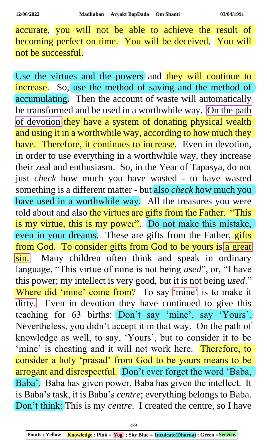accurate, you will not be able to achieve the result of becoming perfect on time. You will be deceived. You will not be successful.

Use the virtues and the powers and they will continue to increase. So, use the method of saving and the method of accumulating. Then the account of waste will automatically be transformed and be used in a worthwhile way. On the path of devotion they have a system of donating physical wealth and using it in a worthwhile way, according to how much they have. Therefore, it continues to increase. Even in devotion, in order to use everything in a worthwhile way, they increase their zeal and enthusiasm. So, in the Year of Tapasya, do not just *check* how much you have wasted - to have wasted something is a different matter - but also *check* how much you have used in a worthwhile way. All the treasures you were told about and also the virtues are gifts from the Father. "This is my virtue, this is my power". Do not make this mistake, even in your dreams. These are gifts from the Father, gifts from God. To consider gifts from God to be yours is  $\alpha$  great sin. Many children often think and speak in ordinary language, "This virtue of mine is not being *used*", or, "I have this power; my intellect is very good, but it is not being *used*." Where did 'mine' come from? To say 'mine' is to make it dirty. Even in devotion they have continued to give this teaching for 63 births: Don't say 'mine', say 'Yours'. Nevertheless, you didn't accept it in that way. On the path of knowledge as well, to say, 'Yours', but to consider it to be 'mine' is cheating and it will not work here. Therefore, to consider a holy 'prasad' from God to be yours means to be arrogant and disrespectful. Don't ever forget the word 'Baba, Baba'. Baba has given power, Baba has given the intellect. It is Baba's task, it is Baba's *centre*; everything belongs to Baba. Don't think: This is my *centre*. I created the centre, so I have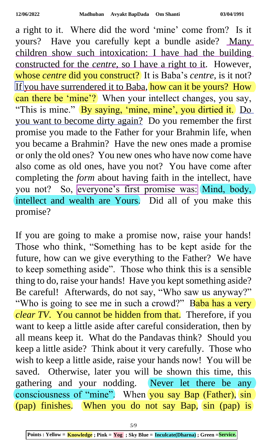a right to it. Where did the word 'mine' come from? Is it yours? Have you carefully kept a bundle aside? Many children show such intoxication: I have had the building constructed for the *centre*, so I have a right to it. However, whose *centre* did you construct? It is Baba's *centre*, is it not? If you have surrendered it to Baba, how can it be yours? How can there be 'mine'? When your intellect changes, you say, "This is mine." By saying, 'mine, mine', you dirtied it. Do you want to become dirty again? Do you remember the first promise you made to the Father for your Brahmin life, when you became a Brahmin? Have the new ones made a promise or only the old ones? You new ones who have now come have also come as old ones, have you not? You have come after completing the *form* about having faith in the intellect, have you not? So, everyone's first promise was: Mind, body, intellect and wealth are Yours. Did all of you make this promise?

If you are going to make a promise now, raise your hands! Those who think, "Something has to be kept aside for the future, how can we give everything to the Father? We have to keep something aside". Those who think this is a sensible thing to do, raise your hands! Have you kept something aside? Be careful! Afterwards, do not say, "Who saw us anyway?" "Who is going to see me in such a crowd?" Baba has a very *clear TV*. You cannot be hidden from that. Therefore, if you want to keep a little aside after careful consideration, then by all means keep it. What do the Pandavas think? Should you keep a little aside? Think about it very carefully. Those who wish to keep a little aside, raise your hands now! You will be saved. Otherwise, later you will be shown this time, this gathering and your nodding. Never let there be any consciousness of "mine". When you say Bap (Father), sin (pap) finishes. When you do not say Bap, sin (pap) is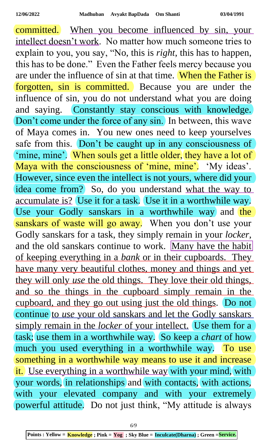committed. When you become influenced by sin, your intellect doesn't work. No matter how much someone tries to explain to you, you say, "No, this is *right*, this has to happen, this has to be done." Even the Father feels mercy because you are under the influence of sin at that time. When the Father is forgotten, sin is committed. Because you are under the influence of sin, you do not understand what you are doing and saying. Constantly stay conscious with knowledge. Don't come under the force of any sin. In between, this wave of Maya comes in. You new ones need to keep yourselves safe from this. Don't be caught up in any consciousness of 'mine, mine'. When souls get a little older, they have a lot of Maya with the consciousness of 'mine, mine'. 'My ideas'. However, since even the intellect is not yours, where did your idea come from? So, do you understand what the way to accumulate is? Use it for a task. Use it in a worthwhile way. Use your Godly sanskars in a worthwhile way and the sanskars of waste will go away. When you don't use your Godly sanskars for a task, they simply remain in your *locker*, and the old sanskars continue to work. Many have the habit of keeping everything in a *bank* or in their cupboards. They have many very beautiful clothes, money and things and yet they will only *use* the old things. They love their old things, and so the things in the cupboard simply remain in the cupboard, and they go out using just the old things. Do not continue to *use* your old sanskars and let the Godly sanskars simply remain in the *locker* of your intellect. Use them for a task; use them in a worthwhile way. So keep a *chart* of how much you used everything in a worthwhile way. To use something in a worthwhile way means to use it and increase it. Use everything in a worthwhile way with your mind, with your words, in relationships and with contacts, with actions, with your elevated company and with your extremely powerful attitude. Do not just think, "My attitude is always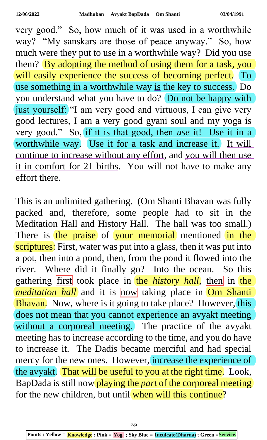very good." So, how much of it was used in a worthwhile way? "My sanskars are those of peace anyway." So, how much were they put to use in a worthwhile way? Did you use them? By adopting the method of using them for a task, you will easily experience the success of becoming perfect. To use something in a worthwhile way is the key to success. Do you understand what you have to do? Do not be happy with just yourself: "I am very good and virtuous, I can give very good lectures, I am a very good gyani soul and my yoga is very good." So, if it is that good, then *use* it! Use it in a worthwhile way. Use it for a task and increase it. It will continue to increase without any effort, and you will then use it in comfort for 21 births. You will not have to make any effort there.

This is an unlimited gathering. (Om Shanti Bhavan was fully packed and, therefore, some people had to sit in the Meditation Hall and History Hall. The hall was too small.) There is the praise of your memorial mentioned in the scriptures: First, water was put into a glass, then it was put into a pot, then into a pond, then, from the pond it flowed into the river. Where did it finally go? Into the ocean. So this gathering first took place in the *history hall*, then in the *meditation hall* and it is now taking place in Om Shanti Bhavan. Now, where is it going to take place? However, this does not mean that you cannot experience an avyakt meeting without a corporeal meeting. The practice of the avyakt meeting has to increase according to the time, and you do have to increase it. The Dadis became merciful and had special mercy for the new ones. However, increase the experience of the avyakt. That will be useful to you at the right time. Look, BapDada is still now playing the *part* of the corporeal meeting for the new children, but until when will this continue?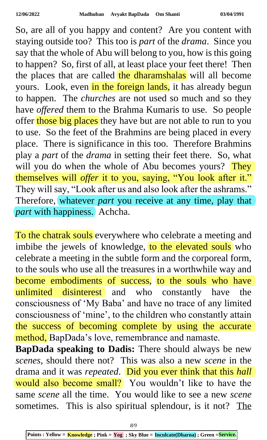So, are all of you happy and content? Are you content with staying outside too? This too is *part* of the *drama*. Since you say that the whole of Abu will belong to you, how is this going to happen? So, first of all, at least place your feet there! Then the places that are called the dharamshalas will all become yours. Look, even in the foreign lands, it has already begun to happen. The *churches* are not used so much and so they have *offered* them to the Brahma Kumaris to use. So people offer those big places they have but are not able to run to you to use. So the feet of the Brahmins are being placed in every place. There is significance in this too. Therefore Brahmins play a *part* of the *drama* in setting their feet there. So, what will you do when the whole of Abu becomes yours? They themselves will *offer* it to you, saying, "You look after it." They will say, "Look after us and also look after the ashrams." Therefore, whatever *part* you receive at any time, play that *part* with happiness. Achcha.

To the chatrak souls everywhere who celebrate a meeting and imbibe the jewels of knowledge, to the elevated souls who celebrate a meeting in the subtle form and the corporeal form, to the souls who use all the treasures in a worthwhile way and become embodiments of success, to the souls who have unlimited disinterest and who constantly have the consciousness of 'My Baba' and have no trace of any limited consciousness of 'mine', to the children who constantly attain the success of becoming complete by using the accurate method, BapDada's love, remembrance and namaste.

**BapDada speaking to Dadis:** There should always be new *scenes*, should there not? This was also a new *scene* in the drama and it was *repeated*. Did you ever think that this *hall* would also become small? You wouldn't like to have the same *scene* all the time. You would like to see a new *scene* sometimes. This is also spiritual splendour, is it not? The